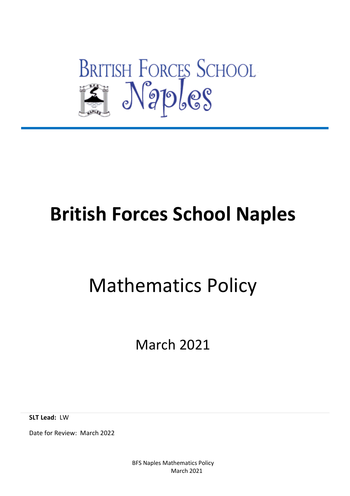

# **British Forces School Naples**

# Mathematics Policy

March 2021

**SLT Lead:** LW

Date for Review: March 2022

BFS Naples Mathematics Policy March 2021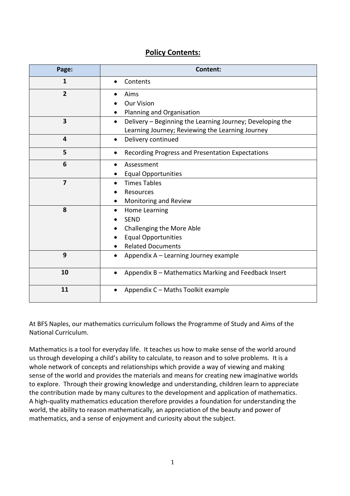# **Policy Contents:**

| Page:          | Content:                                                                                                                   |  |  |  |
|----------------|----------------------------------------------------------------------------------------------------------------------------|--|--|--|
| 1              | Contents<br>$\bullet$                                                                                                      |  |  |  |
| $\overline{2}$ | Aims<br><b>Our Vision</b>                                                                                                  |  |  |  |
|                | Planning and Organisation                                                                                                  |  |  |  |
| 3              | Delivery - Beginning the Learning Journey; Developing the<br>$\bullet$<br>Learning Journey; Reviewing the Learning Journey |  |  |  |
| 4              | Delivery continued<br>$\bullet$                                                                                            |  |  |  |
| 5              | Recording Progress and Presentation Expectations<br>$\bullet$                                                              |  |  |  |
| 6              | Assessment<br>$\bullet$                                                                                                    |  |  |  |
|                | <b>Equal Opportunities</b>                                                                                                 |  |  |  |
| $\overline{7}$ | <b>Times Tables</b><br>$\bullet$                                                                                           |  |  |  |
|                | Resources                                                                                                                  |  |  |  |
|                | Monitoring and Review                                                                                                      |  |  |  |
| 8              | Home Learning                                                                                                              |  |  |  |
|                | <b>SEND</b>                                                                                                                |  |  |  |
|                | Challenging the More Able                                                                                                  |  |  |  |
|                | <b>Equal Opportunities</b>                                                                                                 |  |  |  |
|                | <b>Related Documents</b>                                                                                                   |  |  |  |
| 9              | Appendix A - Learning Journey example<br>$\bullet$                                                                         |  |  |  |
| 10             | Appendix B - Mathematics Marking and Feedback Insert<br>$\bullet$                                                          |  |  |  |
| 11             | Appendix C - Maths Toolkit example                                                                                         |  |  |  |

At BFS Naples, our mathematics curriculum follows the Programme of Study and Aims of the National Curriculum.

Mathematics is a tool for everyday life. It teaches us how to make sense of the world around us through developing a child's ability to calculate, to reason and to solve problems. It is a whole network of concepts and relationships which provide a way of viewing and making sense of the world and provides the materials and means for creating new imaginative worlds to explore. Through their growing knowledge and understanding, children learn to appreciate the contribution made by many cultures to the development and application of mathematics. A high-quality mathematics education therefore provides a foundation for understanding the world, the ability to reason mathematically, an appreciation of the beauty and power of mathematics, and a sense of enjoyment and curiosity about the subject.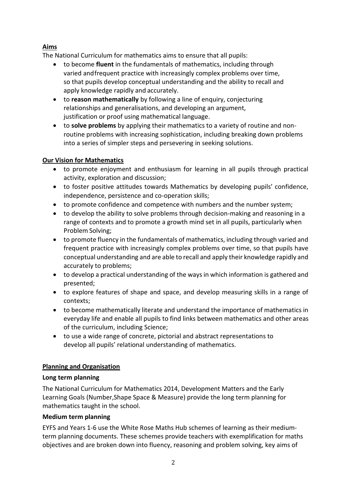# **Aims**

The National Curriculum for mathematics aims to ensure that all pupils:

- to become **fluent** in the fundamentals of mathematics, including through varied andfrequent practice with increasingly complex problems over time, so that pupils develop conceptual understanding and the ability to recall and apply knowledge rapidly and accurately.
- to **reason mathematically** by following a line of enquiry, conjecturing relationships and generalisations, and developing an argument, justification or proof using mathematical language.
- to **solve problems** by applying their mathematics to a variety of routine and nonroutine problems with increasing sophistication, including breaking down problems into a series of simpler steps and persevering in seeking solutions.

# **Our Vision for Mathematics**

- to promote enjoyment and enthusiasm for learning in all pupils through practical activity, exploration and discussion;
- to foster positive attitudes towards Mathematics by developing pupils' confidence, independence, persistence and co-operation skills;
- to promote confidence and competence with numbers and the number system;
- to develop the ability to solve problems through decision-making and reasoning in a range of contexts and to promote a growth mind set in all pupils, particularly when Problem Solving;
- to promote fluency in the fundamentals of mathematics, including through varied and frequent practice with increasingly complex problems over time, so that pupils have conceptual understanding and are able to recall and apply their knowledge rapidly and accurately to problems;
- to develop a practical understanding of the ways in which information is gathered and presented;
- to explore features of shape and space, and develop measuring skills in a range of contexts;
- to become mathematically literate and understand the importance of mathematics in everyday life and enable all pupils to find links between mathematics and other areas of the curriculum, including Science;
- to use a wide range of concrete, pictorial and abstract representations to develop all pupils' relational understanding of mathematics.

# **Planning and Organisation**

# **Long term planning**

The National Curriculum for Mathematics 2014, Development Matters and the Early Learning Goals (Number,Shape Space & Measure) provide the long term planning for mathematics taught in the school.

# **Medium term planning**

EYFS and Years 1-6 use the White Rose Maths Hub schemes of learning as their mediumterm planning documents. These schemes provide teachers with exemplification for maths objectives and are broken down into fluency, reasoning and problem solving, key aims of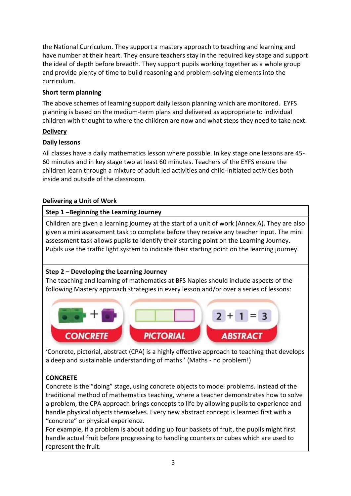the National Curriculum. They support a mastery approach to teaching and learning and have number at their heart. They ensure teachers stay in the required key stage and support the ideal of depth before breadth. They support pupils working together as a whole group and provide plenty of time to build reasoning and problem-solving elements into the curriculum.

### **Short term planning**

The above schemes of learning support daily lesson planning which are monitored. EYFS planning is based on the medium-term plans and delivered as appropriate to individual children with thought to where the children are now and what steps they need to take next.

#### **Delivery**

#### **Daily lessons**

All classes have a daily mathematics lesson where possible. In key stage one lessons are 45- 60 minutes and in key stage two at least 60 minutes. Teachers of the EYFS ensure the children learn through a mixture of adult led activities and child-initiated activities both inside and outside of the classroom.

#### **Delivering a Unit of Work**

#### **Step 1 –Beginning the Learning Journey**

Children are given a learning journey at the start of a unit of work (Annex A). They are also given a mini assessment task to complete before they receive any teacher input. The mini assessment task allows pupils to identify their starting point on the Learning Journey. Pupils use the traffic light system to indicate their starting point on the learning journey.

# **Step 2 – Developing the Learning Journey**

The teaching and learning of mathematics at BFS Naples should include aspects of the following Mastery approach strategies in every lesson and/or over a series of lessons:



'Concrete, pictorial, abstract (CPA) is a highly effective approach to teaching that develops a deep and sustainable understanding of maths.' (Maths - no problem!)

# **CONCRETE**

Concrete is the "doing" stage, using concrete objects to model problems. Instead of the traditional method of mathematics teaching, where a teacher demonstrates how to solve a problem, the CPA approach brings concepts to life by allowing pupils to experience and handle physical objects themselves. Every new abstract concept is learned first with a "concrete" or physical experience.

For example, if a problem is about adding up four baskets of fruit, the pupils might first handle actual fruit before progressing to handling counters or cubes which are used to represent the fruit.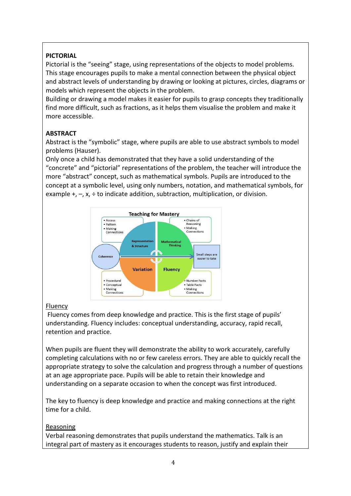# **PICTORIAL**

Pictorial is the "seeing" stage, using representations of the objects to model problems. This stage encourages pupils to make a mental connection between the physical object and abstract levels of understanding by drawing or looking at pictures, circles, diagrams or models which represent the objects in the problem.

Building or drawing a model makes it easier for pupils to grasp concepts they traditionally find more difficult, such as fractions, as it helps them visualise the problem and make it more accessible.

# **ABSTRACT**

Abstract is the "symbolic" stage, where pupils are able to use abstract symbols to model problems (Hauser).

Only once a child has demonstrated that they have a solid understanding of the "concrete" and "pictorial" representations of the problem, the teacher will introduce the more "abstract" concept, such as mathematical symbols. Pupils are introduced to the concept at a symbolic level, using only numbers, notation, and mathematical symbols, for example  $+$ ,  $-$ , x,  $\div$  to indicate addition, subtraction, multiplication, or division.



# Fluency

Fluency comes from deep knowledge and practice. This is the first stage of pupils' understanding. Fluency includes: conceptual understanding, accuracy, rapid recall, retention and practice.

When pupils are fluent they will demonstrate the ability to work accurately, carefully completing calculations with no or few careless errors. They are able to quickly recall the appropriate strategy to solve the calculation and progress through a number of questions at an age appropriate pace. Pupils will be able to retain their knowledge and understanding on a separate occasion to when the concept was first introduced.

The key to fluency is deep knowledge and practice and making connections at the right time for a child.

# Reasoning

Verbal reasoning demonstrates that pupils understand the mathematics. Talk is an integral part of mastery as it encourages students to reason, justify and explain their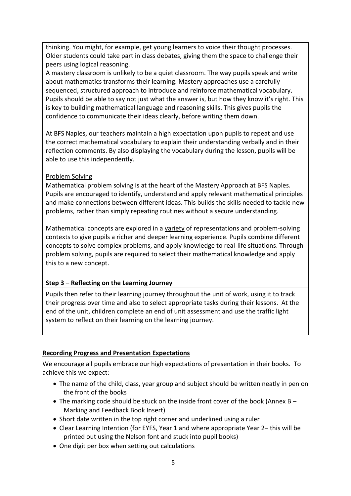thinking. You might, for example, get young learners to voice their thought processes. Older students could take part in class debates, giving them the space to challenge their peers using logical reasoning.

A mastery classroom is unlikely to be a quiet classroom. The way pupils speak and write about mathematics transforms their learning. Mastery approaches use a carefully sequenced, structured approach to introduce and reinforce mathematical vocabulary. Pupils should be able to say not just what the answer is, but how they know it's right. This is key to building mathematical language and reasoning skills. This gives pupils the confidence to communicate their ideas clearly, before writing them down.

At BFS Naples, our teachers maintain a high expectation upon pupils to repeat and use the correct mathematical vocabulary to explain their understanding verbally and in their reflection comments. By also displaying the vocabulary during the lesson, pupils will be able to use this independently.

#### Problem Solving

Mathematical problem solving is at the heart of the Mastery Approach at BFS Naples. Pupils are encouraged to identify, understand and apply relevant mathematical principles and make connections between different ideas. This builds the skills needed to tackle new problems, rather than simply repeating routines without a secure understanding.

Mathematical concepts are explored in a variety of representations and problem-solving contexts to give pupils a richer and deeper learning experience. Pupils combine different concepts to solve complex problems, and apply knowledge to real-life situations. Through problem solving, pupils are required to select their mathematical knowledge and apply this to a new concept.

#### **Step 3 – Reflecting on the Learning Journey**

Pupils then refer to their learning journey throughout the unit of work, using it to track their progress over time and also to select appropriate tasks during their lessons. At the end of the unit, children complete an end of unit assessment and use the traffic light system to reflect on their learning on the learning journey.

# **Recording Progress and Presentation Expectations**

We encourage all pupils embrace our high expectations of presentation in their books. To achieve this we expect:

- The name of the child, class, year group and subject should be written neatly in pen on the front of the books
- The marking code should be stuck on the inside front cover of the book (Annex B Marking and Feedback Book Insert)
- Short date written in the top right corner and underlined using a ruler
- Clear Learning Intention (for EYFS, Year 1 and where appropriate Year 2– this will be printed out using the Nelson font and stuck into pupil books)
- One digit per box when setting out calculations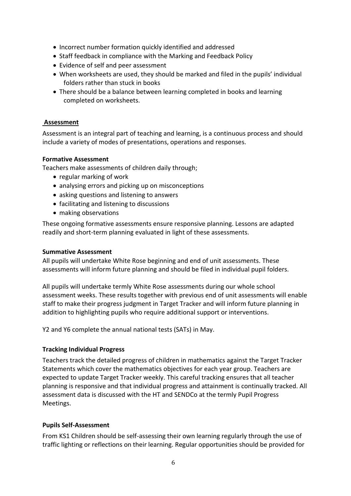- Incorrect number formation quickly identified and addressed
- Staff feedback in compliance with the Marking and Feedback Policy
- Evidence of self and peer assessment
- When worksheets are used, they should be marked and filed in the pupils' individual folders rather than stuck in books
- There should be a balance between learning completed in books and learning completed on worksheets.

#### **Assessment**

Assessment is an integral part of teaching and learning, is a continuous process and should include a variety of modes of presentations, operations and responses.

#### **Formative Assessment**

Teachers make assessments of children daily through;

- regular marking of work
- analysing errors and picking up on misconceptions
- asking questions and listening to answers
- facilitating and listening to discussions
- making observations

These ongoing formative assessments ensure responsive planning. Lessons are adapted readily and short-term planning evaluated in light of these assessments.

#### **Summative Assessment**

All pupils will undertake White Rose beginning and end of unit assessments. These assessments will inform future planning and should be filed in individual pupil folders.

All pupils will undertake termly White Rose assessments during our whole school assessment weeks. These results together with previous end of unit assessments will enable staff to make their progress judgment in Target Tracker and will inform future planning in addition to highlighting pupils who require additional support or interventions.

Y2 and Y6 complete the annual national tests (SATs) in May.

#### **Tracking Individual Progress**

Teachers track the detailed progress of children in mathematics against the Target Tracker Statements which cover the mathematics objectives for each year group. Teachers are expected to update Target Tracker weekly. This careful tracking ensures that all teacher planning is responsive and that individual progress and attainment is continually tracked. All assessment data is discussed with the HT and SENDCo at the termly Pupil Progress Meetings.

#### **Pupils Self-Assessment**

From KS1 Children should be self-assessing their own learning regularly through the use of traffic lighting or reflections on their learning. Regular opportunities should be provided for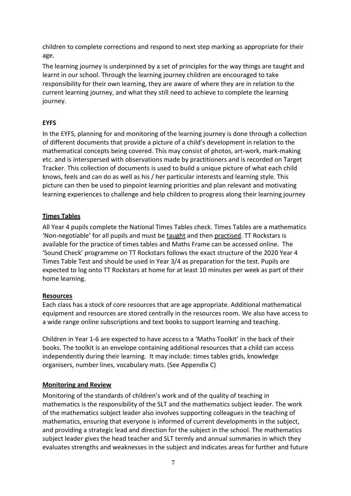children to complete corrections and respond to next step marking as appropriate for their age.

The learning journey is underpinned by a set of principles for the way things are taught and learnt in our school. Through the learning journey children are encouraged to take responsibility for their own learning, they are aware of where they are in relation to the current learning journey, and what they still need to achieve to complete the learning journey.

### **EYFS**

In the EYFS, planning for and monitoring of the learning journey is done through a collection of different documents that provide a picture of a child's development in relation to the mathematical concepts being covered. This may consist of photos, art-work, mark-making etc. and is interspersed with observations made by practitioners and is recorded on Target Tracker. This collection of documents is used to build a unique picture of what each child knows, feels and can do as well as his / her particular interests and learning style. This picture can then be used to pinpoint learning priorities and plan relevant and motivating learning experiences to challenge and help children to progress along their learning journey

#### **Times Tables**

All Year 4 pupils complete the National Times Tables check. Times Tables are a mathematics 'Non-negotiable' for all pupils and must be taught and then practised. TT Rockstars is available for the practice of times tables and Maths Frame can be accessed online. The 'Sound Check' programme on TT Rockstars follows the exact structure of the 2020 Year 4 Times Table Test and should be used in Year 3/4 as preparation for the test. Pupils are expected to log onto TT Rockstars at home for at least 10 minutes per week as part of their home learning.

#### **Resources**

Each class has a stock of core resources that are age appropriate. Additional mathematical equipment and resources are stored centrally in the resources room. We also have access to a wide range online subscriptions and text books to support learning and teaching.

Children in Year 1-6 are expected to have access to a 'Maths Toolkit' in the back of their books. The toolkit is an envelope containing additional resources that a child can access independently during their learning. It may include: times tables grids, knowledge organisers, number lines, vocabulary mats. (See Appendix C)

#### **Monitoring and Review**

Monitoring of the standards of children's work and of the quality of teaching in mathematics is the responsibility of the SLT and the mathematics subject leader. The work of the mathematics subject leader also involves supporting colleagues in the teaching of mathematics, ensuring that everyone is informed of current developments in the subject, and providing a strategic lead and direction for the subject in the school. The mathematics subject leader gives the head teacher and SLT termly and annual summaries in which they evaluates strengths and weaknesses in the subject and indicates areas for further and future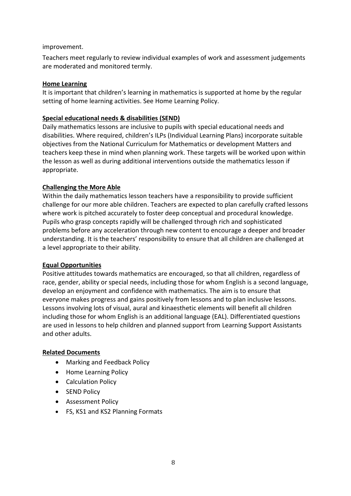#### improvement.

Teachers meet regularly to review individual examples of work and assessment judgements are moderated and monitored termly.

#### **Home Learning**

It is important that children's learning in mathematics is supported at home by the regular setting of home learning activities. See Home Learning Policy.

#### **Special educational needs & disabilities (SEND)**

Daily mathematics lessons are inclusive to pupils with special educational needs and disabilities. Where required, children's ILPs (Individual Learning Plans) incorporate suitable objectives from the National Curriculum for Mathematics or development Matters and teachers keep these in mind when planning work. These targets will be worked upon within the lesson as well as during additional interventions outside the mathematics lesson if appropriate.

#### **Challenging the More Able**

Within the daily mathematics lesson teachers have a responsibility to provide sufficient challenge for our more able children. Teachers are expected to plan carefully crafted lessons where work is pitched accurately to foster deep conceptual and procedural knowledge. Pupils who grasp concepts rapidly will be challenged through rich and sophisticated problems before any acceleration through new content to encourage a deeper and broader understanding. It is the teachers' responsibility to ensure that all children are challenged at a level appropriate to their ability.

#### **Equal Opportunities**

Positive attitudes towards mathematics are encouraged, so that all children, regardless of race, gender, ability or special needs, including those for whom English is a second language, develop an enjoyment and confidence with mathematics. The aim is to ensure that everyone makes progress and gains positively from lessons and to plan inclusive lessons. Lessons involving lots of visual, aural and kinaesthetic elements will benefit all children including those for whom English is an additional language (EAL). Differentiated questions are used in lessons to help children and planned support from Learning Support Assistants and other adults.

#### **Related Documents**

- Marking and Feedback Policy
- Home Learning Policy
- Calculation Policy
- SEND Policy
- Assessment Policy
- FS, KS1 and KS2 Planning Formats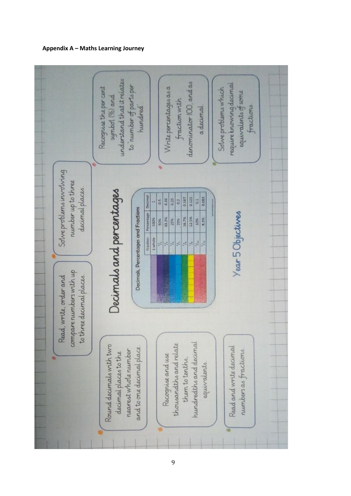#### **Appendix A – Maths Learning Journey**

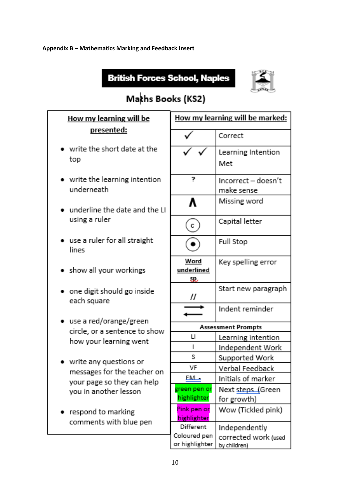#### **Appendix B – Mathematics Marking and Feedback Insert**

# **British Forces School, Naples**



# Makhs Books (KS2)

| How my learning will be |                                                           | How my learning will be marked: |                                      |  |
|-------------------------|-----------------------------------------------------------|---------------------------------|--------------------------------------|--|
|                         | presented:                                                |                                 | Correct                              |  |
|                         | write the short date at the<br>top                        |                                 | Learning Intention<br>Met            |  |
|                         | • write the learning intention<br>underneath              | 7                               | Incorrect - doesn't<br>make sense    |  |
|                         | underline the date and the LI                             |                                 | Missing word                         |  |
|                         | using a ruler                                             | $\mathbf{C}$                    | Capital letter                       |  |
|                         | • use a ruler for all straight<br>lines                   |                                 | <b>Full Stop</b>                     |  |
|                         | • show all your workings                                  | Word<br>underlined<br>SR.       | Key spelling error                   |  |
|                         | • one digit should go inside<br>each square               | $^{\prime\prime}$               | Start new paragraph                  |  |
|                         | • use a red/orange/green                                  |                                 | Indent reminder                      |  |
|                         | circle, or a sentence to show                             | <b>Assessment Prompts</b>       |                                      |  |
|                         | how your learning went                                    | $\mathsf{L}$                    | Learning intention                   |  |
|                         |                                                           | I                               | Independent Work                     |  |
|                         | write any questions or                                    | S                               | Supported Work                       |  |
|                         | messages for the teacher on<br>your page so they can help | VF                              | Verbal Feedback                      |  |
|                         |                                                           | <u>FM - </u>                    | Initials of marker                   |  |
|                         | you in another lesson                                     | green pen or<br>highlighter     | Next steps (Green<br>for growth)     |  |
|                         | respond to marking<br>comments with blue pen              | Pink pen or<br>highlighter      | Wow (Tickled pink)                   |  |
|                         |                                                           | Different.                      | Independently                        |  |
|                         |                                                           | Coloured pen<br>or highlighter. | corrected work (used<br>by children) |  |